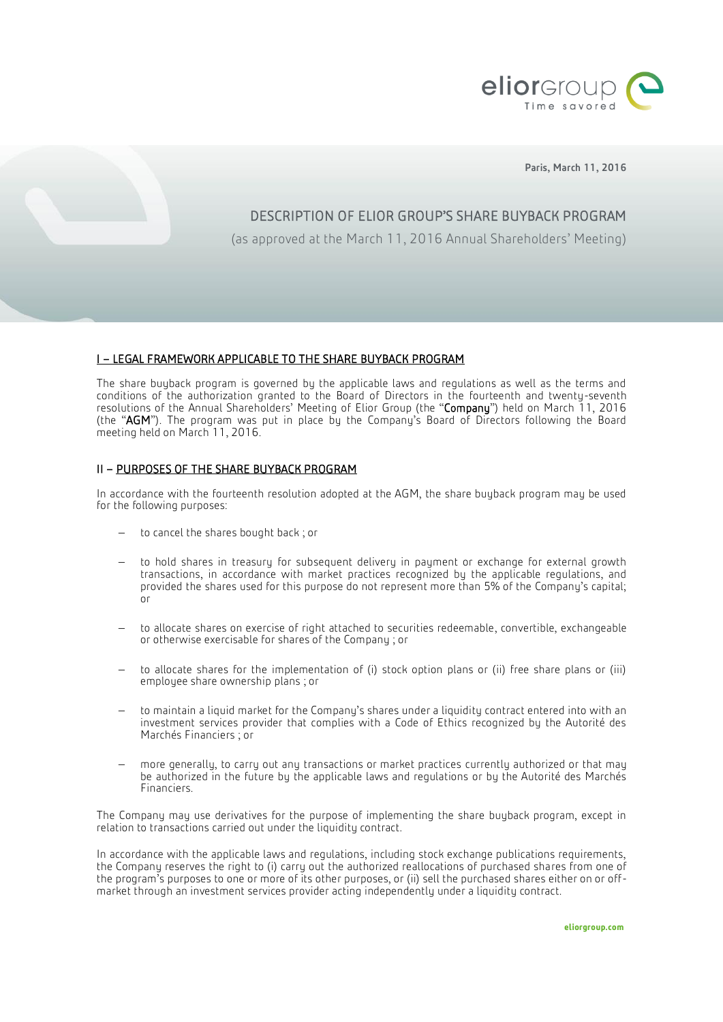

Paris, March 11, 2016

# DESCRIPTION OF ELIOR GROUP'S SHARE BUYBACK PROGRAM

(as approved at the March 11, 2016 Annual Shareholders' Meeting)

# I – LEGAL FRAMEWORK APPLICABLE TO THE SHARE BUYBACK PROGRAM

The share buyback program is governed by the applicable laws and regulations as well as the terms and conditions of the authorization granted to the Board of Directors in the fourteenth and twenty-seventh resolutions of the Annual Shareholders' Meeting of Elior Group (the "Company") held on March 11, 2016 (the "AGM"). The program was put in place by the Company's Board of Directors following the Board meeting held on March 11, 2016.

# II – PURPOSES OF THE SHARE BUYBACK PROGRAM

In accordance with the fourteenth resolution adopted at the AGM, the share buyback program may be used for the following purposes:

- to cancel the shares bought back; or
- to hold shares in treasury for subsequent delivery in payment or exchange for external growth transactions, in accordance with market practices recognized by the applicable regulations, and provided the shares used for this purpose do not represent more than 5% of the Company's capital; or
- to allocate shares on exercise of right attached to securities redeemable, convertible, exchangeable or otherwise exercisable for shares of the Company ; or
- to allocate shares for the implementation of (i) stock option plans or (ii) free share plans or (iii) employee share ownership plans ; or
- to maintain a liquid market for the Company's shares under a liquidity contract entered into with an investment services provider that complies with a Code of Ethics recognized by the Autorité des Marchés Financiers ; or
- more generally, to carry out any transactions or market practices currently authorized or that may be authorized in the future by the applicable laws and regulations or by the Autorité des Marchés Financiers.

The Company may use derivatives for the purpose of implementing the share buyback program, except in relation to transactions carried out under the liquidity contract.

In accordance with the applicable laws and regulations, including stock exchange publications requirements, the Company reserves the right to (i) carry out the authorized reallocations of purchased shares from one of the program's purposes to one or more of its other purposes, or (ii) sell the purchased shares either on or offmarket through an investment services provider acting independently under a liquidity contract.